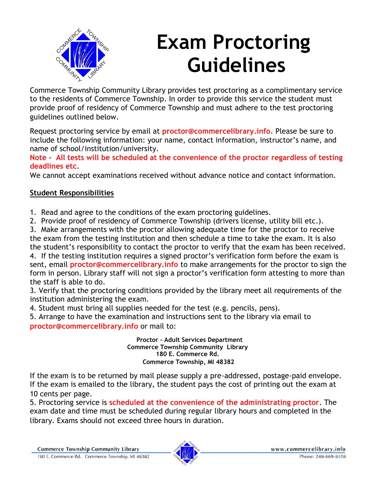

# **Exam Proctoring Guidelines**

Commerce Township Community Library provides test proctoring as a complimentary service to the residents of Commerce Township. In order to provide this service the student must provide proof of residency of Commerce Township and must adhere to the test proctoring guidelines outlined below.

Request proctoring service by email at **proctor@commercelibrary.info**. Please be sure to include the following information: your name, contact information, instructor's name, and name of school/institution/university.

**Note - All tests will be scheduled at the convenience of the proctor regardless of testing deadlines etc.** 

We cannot accept examinations received without advance notice and contact information.

### **Student Responsibilities**

1. Read and agree to the conditions of the exam proctoring guidelines.

2. Provide proof of residency of Commerce Township (drivers license, utility bill etc.).

3. Make arrangements with the proctor allowing adequate time for the proctor to receive the exam from the testing institution and then schedule a time to take the exam. It is also

the student's responsibility to contact the proctor to verify that the exam has been received. 4. If the testing institution requires a signed proctor's verification form before the exam is sent, email **proctor@commercelibrary.info** to make arrangements for the proctor to sign the form in person. Library staff will not sign a proctor's verification form attesting to more than the staff is able to do.

3. Verify that the proctoring conditions provided by the library meet all requirements of the institution administering the exam.

4. Student must bring all supplies needed for the test (e.g. pencils, pens).

5. Arrange to have the examination and instructions sent to the library via email to **proctor@commercelibrary.info** or mail to:

> **Proctor - Adult Services Department Commerce Township Community Library 180 E. Commerce Rd. Commerce Township, MI 48382**

If the exam is to be returned by mail please supply a pre-addressed, postage-paid envelope. If the exam is emailed to the library, the student pays the cost of printing out the exam at 10 cents per page.

5. Proctoring service is **scheduled at the convenience of the administrating proctor**. The exam date and time must be scheduled during regular library hours and completed in the library. Exams should not exceed three hours in duration.